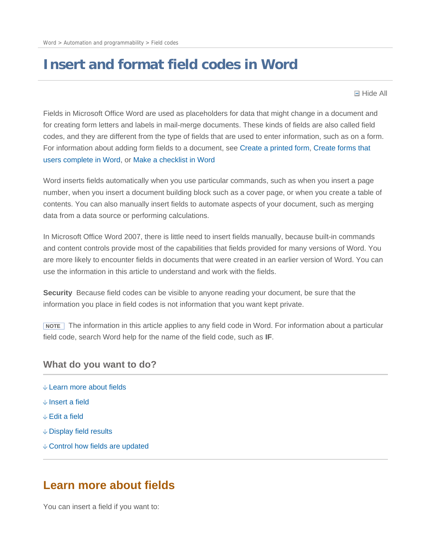# **Insert and format field codes in Word**

**□ Hide All** 

Fields in Microsoft Office Word are used as placeholders for data that might change in a document and for creating form letters and labels in mail-merge documents. These kinds of fields are also called field codes, and they are different from the type of fields that are used to enter information, such as on a form. For information about adding form fields to a document, see Create a printed form, Create forms that users complete in Word, or Make a checklist in Word

Word inserts fields automatically when you use particular commands, such as when you insert a page number, when you insert a document building block such as a cover page, or when you create a table of contents. You can also manually insert fields to automate aspects of your document, such as merging data from a data source or performing calculations.

In Microsoft Office Word 2007, there is little need to insert fields manually, because built-in commands and content controls provide most of the capabilities that fields provided for many versions of Word. You are more likely to encounter fields in documents that were created in an earlier version of Word. You can use the information in this article to understand and work with the fields.

**Security** Because field codes can be visible to anyone reading your document, be sure that the information you place in field codes is not information that you want kept private.

**NOTE** The information in this article applies to any field code in Word. For information about a particular field code, search Word help for the name of the field code, such as **IF**.

## **What do you want to do?**

- Learn more about fields
- Insert a field
- Edit a field
- Display field results
- Control how fields are updated

## **Learn more about fields**

You can insert a field if you want to: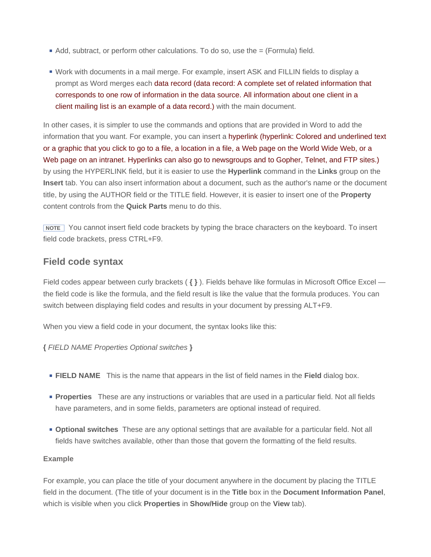- $\blacksquare$  Add, subtract, or perform other calculations. To do so, use the  $=$  (Formula) field.
- Work with documents in a mail merge. For example, insert ASK and FILLIN fields to display a prompt as Word merges each data record (data record: A complete set of related information that corresponds to one row of information in the data source. All information about one client in a client mailing list is an example of a data record.) with the main document.

In other cases, it is simpler to use the commands and options that are provided in Word to add the information that you want. For example, you can insert a hyperlink (hyperlink: Colored and underlined text or a graphic that you click to go to a file, a location in a file, a Web page on the World Wide Web, or a Web page on an intranet. Hyperlinks can also go to newsgroups and to Gopher, Telnet, and FTP sites.) by using the HYPERLINK field, but it is easier to use the **Hyperlink** command in the **Links** group on the **Insert** tab. You can also insert information about a document, such as the author's name or the document title, by using the AUTHOR field or the TITLE field. However, it is easier to insert one of the **Property** content controls from the **Quick Parts** menu to do this.

 **NOTE** You cannot insert field code brackets by typing the brace characters on the keyboard. To insert field code brackets, press CTRL+F9.

## **Field code syntax**

Field codes appear between curly brackets ( **{ }** ). Fields behave like formulas in Microsoft Office Excel the field code is like the formula, and the field result is like the value that the formula produces. You can switch between displaying field codes and results in your document by pressing ALT+F9.

When you view a field code in your document, the syntax looks like this:

## **{** *FIELD NAME Properties Optional switches* **}**

- **FIELD NAME** This is the name that appears in the list of field names in the **Field** dialog box.
- **Properties** These are any instructions or variables that are used in a particular field. Not all fields have parameters, and in some fields, parameters are optional instead of required.
- **Optional switches** These are any optional settings that are available for a particular field. Not all fields have switches available, other than those that govern the formatting of the field results.

### **Example**

For example, you can place the title of your document anywhere in the document by placing the TITLE field in the document. (The title of your document is in the **Title** box in the **Document Information Panel**, which is visible when you click **Properties** in **Show/Hide** group on the **View** tab).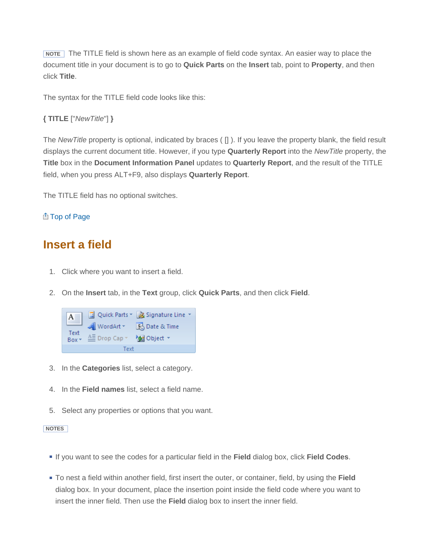**NOTE** The TITLE field is shown here as an example of field code syntax. An easier way to place the document title in your document is to go to **Quick Parts** on the **Insert** tab, point to **Property**, and then click **Title**.

The syntax for the TITLE field code looks like this:

```
{ TITLE ["NewTitle"] }
```
The *NewTitle* property is optional, indicated by braces ( [] ). If you leave the property blank, the field result displays the current document title. However, if you type **Quarterly Report** into the *NewTitle* property, the **Title** box in the **Document Information Panel** updates to **Quarterly Report**, and the result of the TITLE field, when you press ALT+F9, also displays **Quarterly Report**.

The TITLE field has no optional switches.

## **<br />
<b>Example 7** Op of Page

# **Insert a field**

- 1. Click where you want to insert a field.
- 2. On the **Insert** tab, in the **Text** group, click **Quick Parts**, and then click **Field**.



- 3. In the **Categories** list, select a category.
- 4. In the **Field names** list, select a field name.
- 5. Select any properties or options that you want.

#### **NOTES**

- If you want to see the codes for a particular field in the **Field** dialog box, click **Field Codes**.
- To nest a field within another field, first insert the outer, or container, field, by using the **Field** dialog box. In your document, place the insertion point inside the field code where you want to insert the inner field. Then use the **Field** dialog box to insert the inner field.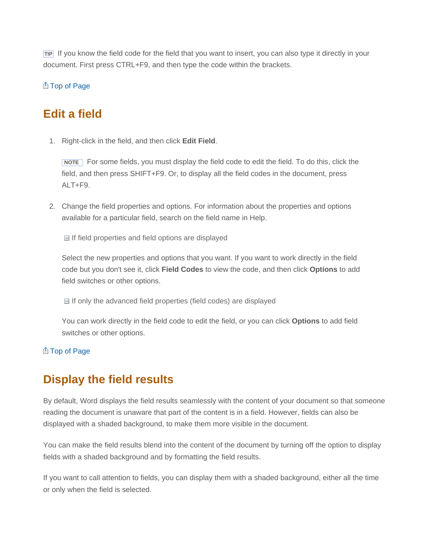**TIP** If you know the field code for the field that you want to insert, you can also type it directly in your document. First press CTRL+F9, and then type the code within the brackets.

## **<br>
<u>
</u>**  Top of Page

# **Edit a field**

1. Right-click in the field, and then click **Edit Field**.

**NOTE** For some fields, you must display the field code to edit the field. To do this, click the field, and then press SHIFT+F9. Or, to display all the field codes in the document, press ALT+F9.

2. Change the field properties and options. For information about the properties and options available for a particular field, search on the field name in Help.

 $\Box$  If field properties and field options are displayed

Select the new properties and options that you want. If you want to work directly in the field code but you don't see it, click **Field Codes** to view the code, and then click **Options** to add field switches or other options.

 $\Box$  If only the advanced field properties (field codes) are displayed

You can work directly in the field code to edit the field, or you can click **Options** to add field switches or other options.

## **A** Top of Page

# **Display the field results**

By default, Word displays the field results seamlessly with the content of your document so that someone reading the document is unaware that part of the content is in a field. However, fields can also be displayed with a shaded background, to make them more visible in the document.

You can make the field results blend into the content of the document by turning off the option to display fields with a shaded background and by formatting the field results.

If you want to call attention to fields, you can display them with a shaded background, either all the time or only when the field is selected.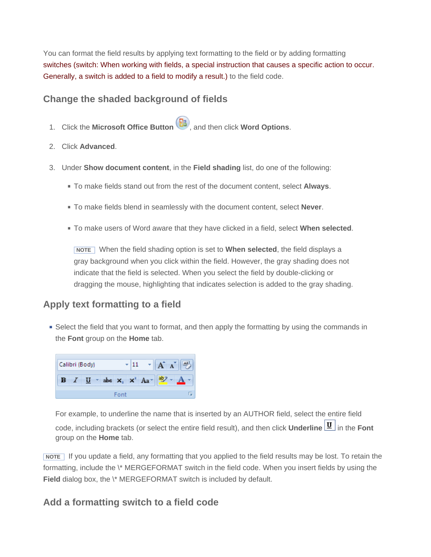You can format the field results by applying text formatting to the field or by adding formatting switches (switch: When working with fields, a special instruction that causes a specific action to occur. Generally, a switch is added to a field to modify a result.) to the field code.

## **Change the shaded background of fields**

- 1. Click the **Microsoft Office Button** , and then click **Word Options**.
- 2. Click **Advanced**.
- 3. Under **Show document content**, in the **Field shading** list, do one of the following:
	- To make fields stand out from the rest of the document content, select **Always**.
	- To make fields blend in seamlessly with the document content, select **Never**.
	- To make users of Word aware that they have clicked in a field, select **When selected**.

 **NOTE** When the field shading option is set to **When selected**, the field displays a gray background when you click within the field. However, the gray shading does not indicate that the field is selected. When you select the field by double-clicking or dragging the mouse, highlighting that indicates selection is added to the gray shading.

## **Apply text formatting to a field**

Select the field that you want to format, and then apply the formatting by using the commands in the **Font** group on the **Home** tab.



For example, to underline the name that is inserted by an AUTHOR field, select the entire field code, including brackets (or select the entire field result), and then click **Underline U** in the **Font** group on the **Home** tab.

 **NOTE** If you update a field, any formatting that you applied to the field results may be lost. To retain the formatting, include the \\* MERGEFORMAT switch in the field code. When you insert fields by using the Field dialog box, the \\* MERGEFORMAT switch is included by default.

## **Add a formatting switch to a field code**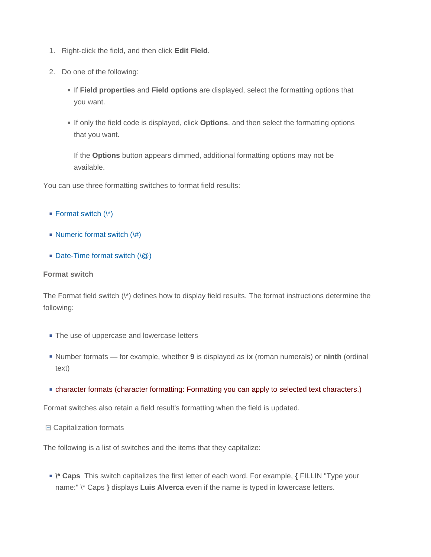- 1. Right-click the field, and then click **Edit Field**.
- 2. Do one of the following:
	- If **Field properties** and **Field options** are displayed, select the formatting options that you want.
	- If only the field code is displayed, click **Options**, and then select the formatting options that you want.

If the **Options** button appears dimmed, additional formatting options may not be available.

You can use three formatting switches to format field results:

- Format switch  $(\n<sup>*</sup>)$
- Numeric format switch  $(\#)$
- $\blacksquare$  Date-Time format switch  $(\lozenge)$

#### **Format switch**

The Format field switch (\\*) defines how to display field results. The format instructions determine the following:

- The use of uppercase and lowercase letters
- Number formats for example, whether **9** is displayed as **ix** (roman numerals) or **ninth** (ordinal text)
- character formats (character formatting: Formatting you can apply to selected text characters.)

Format switches also retain a field result's formatting when the field is updated.

Capitalization formats

The following is a list of switches and the items that they capitalize:

**\\* Caps** This switch capitalizes the first letter of each word. For example, **{** FILLIN "Type your name:" \\* Caps **}** displays **Luis Alverca** even if the name is typed in lowercase letters.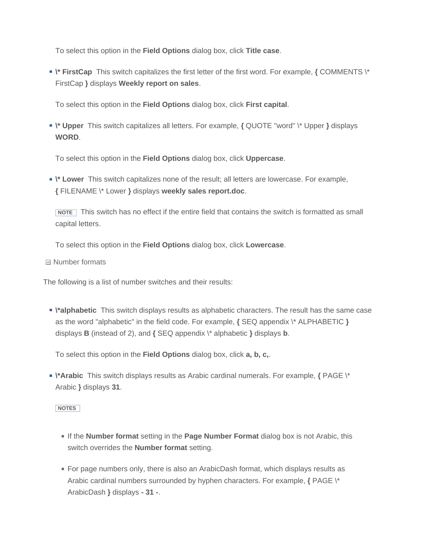To select this option in the **Field Options** dialog box, click **Title case**.

**\\* FirstCap** This switch capitalizes the first letter of the first word. For example, **{** COMMENTS \\* FirstCap **}** displays **Weekly report on sales**.

To select this option in the **Field Options** dialog box, click **First capital**.

**\\* Upper** This switch capitalizes all letters. For example, **{** QUOTE "word" \\* Upper **}** displays **WORD**.

To select this option in the **Field Options** dialog box, click **Uppercase**.

**\\* Lower** This switch capitalizes none of the result; all letters are lowercase. For example, **{** FILENAME \\* Lower **}** displays **weekly sales report.doc**.

**NOTE** This switch has no effect if the entire field that contains the switch is formatted as small capital letters.

To select this option in the **Field Options** dialog box, click **Lowercase**.

Number formats

The following is a list of number switches and their results:

**\\*alphabetic** This switch displays results as alphabetic characters. The result has the same case as the word "alphabetic" in the field code. For example, **{** SEQ appendix \\* ALPHABETIC **}** displays **B** (instead of 2), and **{** SEQ appendix \\* alphabetic **}** displays **b**.

To select this option in the **Field Options** dialog box, click **a, b, c,**.

**\\*Arabic** This switch displays results as Arabic cardinal numerals. For example, **{** PAGE \\* Arabic **}** displays **31**.

#### **NOTES**

- If the **Number format** setting in the **Page Number Format** dialog box is not Arabic, this switch overrides the **Number format** setting.
- For page numbers only, there is also an ArabicDash format, which displays results as Arabic cardinal numbers surrounded by hyphen characters. For example, **{** PAGE \\* ArabicDash **}** displays **- 31 -**.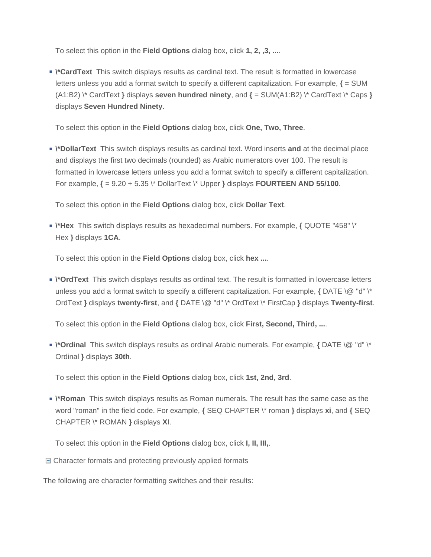To select this option in the **Field Options** dialog box, click **1, 2, ,3, ...**.

**• \\*CardText** This switch displays results as cardinal text. The result is formatted in lowercase letters unless you add a format switch to specify a different capitalization. For example, **{** = SUM (A1:B2) \\* CardText **}** displays **seven hundred ninety**, and **{** = SUM(A1:B2) \\* CardText \\* Caps **}** displays **Seven Hundred Ninety**.

To select this option in the **Field Options** dialog box, click **One, Two, Three**.

**\\*DollarText** This switch displays results as cardinal text. Word inserts **and** at the decimal place and displays the first two decimals (rounded) as Arabic numerators over 100. The result is formatted in lowercase letters unless you add a format switch to specify a different capitalization. For example, **{** = 9.20 + 5.35 \\* DollarText \\* Upper **}** displays **FOURTEEN AND 55/100**.

To select this option in the **Field Options** dialog box, click **Dollar Text**.

**\\*Hex** This switch displays results as hexadecimal numbers. For example, **{** QUOTE "458" \\* Hex **}** displays **1CA**.

To select this option in the **Field Options** dialog box, click **hex ...**.

**\\*OrdText** This switch displays results as ordinal text. The result is formatted in lowercase letters unless you add a format switch to specify a different capitalization. For example, **{** DATE \@ "d" \\* OrdText **}** displays **twenty-first**, and **{** DATE \@ "d" \\* OrdText \\* FirstCap **}** displays **Twenty-first**.

To select this option in the **Field Options** dialog box, click **First, Second, Third, ...**.

**\\*Ordinal** This switch displays results as ordinal Arabic numerals. For example, **{** DATE \@ "d" \\* Ordinal **}** displays **30th**.

To select this option in the **Field Options** dialog box, click **1st, 2nd, 3rd**.

**\\*Roman** This switch displays results as Roman numerals. The result has the same case as the word "roman" in the field code. For example, **{** SEQ CHAPTER \\* roman **}** displays **xi**, and **{** SEQ CHAPTER \\* ROMAN **}** displays **X**I.

To select this option in the **Field Options** dialog box, click **I, II, III,**.

□ Character formats and protecting previously applied formats

The following are character formatting switches and their results: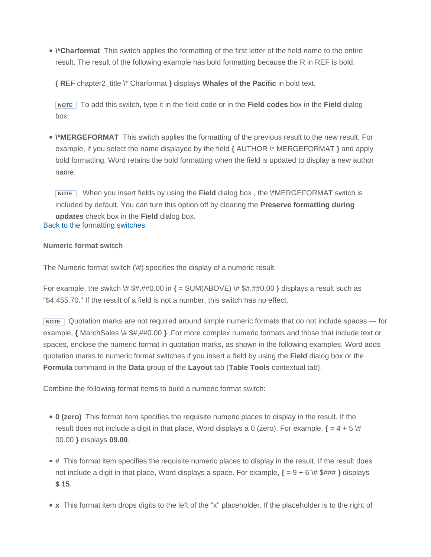**\\*Charformat** This switch applies the formatting of the first letter of the field name to the entire result. The result of the following example has bold formatting because the R in REF is bold.

**{ R**EF chapter2\_title \\* Charformat **}** displays **Whales of the Pacific** in bold text.

 **NOTE** To add this switch, type it in the field code or in the **Field codes** box in the **Field** dialog box.

**\\*MERGEFORMAT** This switch applies the formatting of the previous result to the new result. For example, if you select the name displayed by the field **{** AUTHOR \\* MERGEFORMAT **}** and apply bold formatting, Word retains the bold formatting when the field is updated to display a new author name.

**NOTE** When you insert fields by using the Field dialog box, the \\*MERGEFORMAT switch is included by default. You can turn this option off by clearing the **Preserve formatting during updates** check box in the **Field** dialog box. Back to the formatting switches

## **Numeric format switch**

The Numeric format switch (\#) specifies the display of a numeric result.

For example, the switch \# \$#,##0.00 in **{** = SUM(ABOVE) \# \$#,##0.00 **}** displays a result such as "\$4,455.70." If the result of a field is not a number, this switch has no effect.

**NOTE** Quotation marks are not required around simple numeric formats that do not include spaces — for example, **{** MarchSales \# \$#,##0.00 **}**. For more complex numeric formats and those that include text or spaces, enclose the numeric format in quotation marks, as shown in the following examples. Word adds quotation marks to numeric format switches if you insert a field by using the **Field** dialog box or the **Formula** command in the **Data** group of the **Layout** tab (**Table Tools** contextual tab).

Combine the following format items to build a numeric format switch:

- **0 (zero)** This format item specifies the requisite numeric places to display in the result. If the result does not include a digit in that place, Word displays a 0 (zero). For example,  $\{ = 4 + 5 \}$ 00.00 **}** displays **09.00**.
- **#** This format item specifies the requisite numeric places to display in the result. If the result does not include a digit in that place, Word displays a space. For example, **{** = 9 + 6 \# \$### **}** displays **\$ 15**.
- **x** This format item drops digits to the left of the "x" placeholder. If the placeholder is to the right of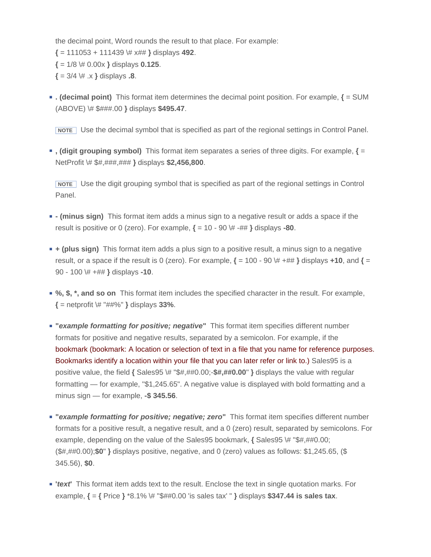the decimal point, Word rounds the result to that place. For example: **{** = 111053 + 111439 \# x## **}** displays **492**. **{** = 1/8 \# 0.00x **}** displays **0.125**.  $\{ = 3/4 \, \}, \, \{ \text{display} \}$ 

**. (decimal point)** This format item determines the decimal point position. For example, **{** = SUM (ABOVE) \# \$###.00 **}** displays **\$495.47**.

**NOTE** Use the decimal symbol that is specified as part of the regional settings in Control Panel.

**, (digit grouping symbol)** This format item separates a series of three digits. For example, **{** = NetProfit \# \$#,###,### **}** displays **\$2,456,800**.

 **NOTE** Use the digit grouping symbol that is specified as part of the regional settings in Control Panel.

- **(minus sign)** This format item adds a minus sign to a negative result or adds a space if the result is positive or 0 (zero). For example,  $\{ = 10 - 90 \ \# -444 \}$  displays **-80**.
- **+ (plus sign)** This format item adds a plus sign to a positive result, a minus sign to a negative result, or a space if the result is 0 (zero). For example,  $\{ = 100 - 90 \ \forall + \#\#\}$  displays  $+10$ , and  $\{ =$ 90 - 100 \# +## **}** displays **-10**.
- **%, \$, \*, and so on** This format item includes the specified character in the result. For example, **{** = netprofit \# "##%" **}** displays **33%**.
- **"***example formatting for positive; negative***"** This format item specifies different number formats for positive and negative results, separated by a semicolon. For example, if the bookmark (bookmark: A location or selection of text in a file that you name for reference purposes. Bookmarks identify a location within your file that you can later refer or link to.) Sales95 is a positive value, the field **{** Sales95 \# "\$#,##0.00;-**\$#,##0.00**" **}** displays the value with regular formatting — for example, "\$1,245.65". A negative value is displayed with bold formatting and a minus sign — for example, **-\$ 345.56**.
- **"***example formatting for positive; negative; zero***"** This format item specifies different number formats for a positive result, a negative result, and a 0 (zero) result, separated by semicolons. For example, depending on the value of the Sales95 bookmark, **{** Sales95 \# "\$#,##0.00; (\$#,##0.00);**\$0**" **}** displays positive, negative, and 0 (zero) values as follows: \$1,245.65, (\$ 345.56), **\$0**.
- **'***text***'** This format item adds text to the result. Enclose the text in single quotation marks. For example, **{** = **{** Price **}** \*8.1% \# "\$##0.00 'is sales tax' " **}** displays **\$347.44 is sales tax**.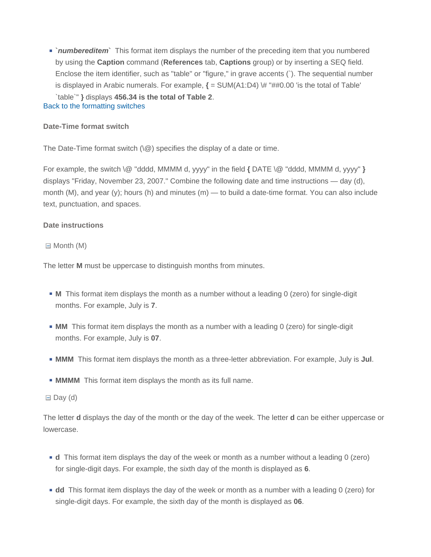**`***numbereditem***`** This format item displays the number of the preceding item that you numbered by using the **Caption** command (**References** tab, **Captions** group) or by inserting a SEQ field. Enclose the item identifier, such as "table" or "figure," in grave accents (`). The sequential number is displayed in Arabic numerals. For example,  $\mathbf{f} = \mathbf{SUM}(A1:D4) \# \# \# \emptyset$ .00 'is the total of Table' `table`" **}** displays **456.34 is the total of Table 2**. Back to the formatting switches

### **Date-Time format switch**

The Date-Time format switch  $(\Diamond \varnothing)$  specifies the display of a date or time.

For example, the switch \@ "dddd, MMMM d, yyyy" in the field **{** DATE \@ "dddd, MMMM d, yyyy" **}** displays "Friday, November 23, 2007." Combine the following date and time instructions — day (d), month (M), and year (y); hours (h) and minutes (m) — to build a date-time format. You can also include text, punctuation, and spaces.

### **Date instructions**

 $\Box$  Month (M)

The letter **M** must be uppercase to distinguish months from minutes.

- **M** This format item displays the month as a number without a leading 0 (zero) for single-digit months. For example, July is **7**.
- **MM** This format item displays the month as a number with a leading 0 (zero) for single-digit months. For example, July is **07**.
- **MMM** This format item displays the month as a three-letter abbreviation. For example, July is **Jul**.
- **MMMM** This format item displays the month as its full name.

 $\Box$  Day (d)

The letter **d** displays the day of the month or the day of the week. The letter **d** can be either uppercase or lowercase.

- **d** This format item displays the day of the week or month as a number without a leading 0 (zero) for single-digit days. For example, the sixth day of the month is displayed as **6**.
- **dd** This format item displays the day of the week or month as a number with a leading 0 (zero) for single-digit days. For example, the sixth day of the month is displayed as **06**.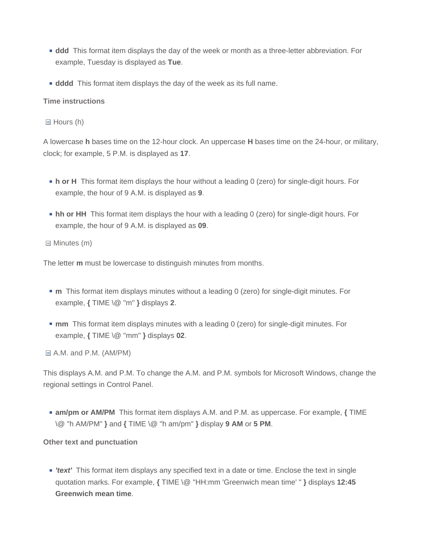- **ddd** This format item displays the day of the week or month as a three-letter abbreviation. For example, Tuesday is displayed as **Tue**.
- **ddd** This format item displays the day of the week as its full name.

## **Time instructions**

 $\Box$  Hours (h)

A lowercase **h** bases time on the 12-hour clock. An uppercase **H** bases time on the 24-hour, or military, clock; for example, 5 P.M. is displayed as **17**.

- **h or H** This format item displays the hour without a leading 0 (zero) for single-digit hours. For example, the hour of 9 A.M. is displayed as **9**.
- **hh or HH** This format item displays the hour with a leading 0 (zero) for single-digit hours. For example, the hour of 9 A.M. is displayed as **09**.

 $\Box$  Minutes (m)

The letter **m** must be lowercase to distinguish minutes from months.

- **n** This format item displays minutes without a leading 0 (zero) for single-digit minutes. For example, **{** TIME \@ "m" **}** displays **2**.
- **nm** This format item displays minutes with a leading 0 (zero) for single-digit minutes. For example, **{** TIME \@ "mm" **}** displays **02**.

A.M. and P.M. (AM/PM)

This displays A.M. and P.M. To change the A.M. and P.M. symbols for Microsoft Windows, change the regional settings in Control Panel.

**am/pm or AM/PM** This format item displays A.M. and P.M. as uppercase. For example, **{** TIME \@ "h AM/PM" **}** and **{** TIME \@ "h am/pm" **}** display **9 AM** or **5 PM**.

**Other text and punctuation** 

*'text'* This format item displays any specified text in a date or time. Enclose the text in single quotation marks. For example, **{** TIME \@ "HH:mm 'Greenwich mean time' " **}** displays **12:45 Greenwich mean time**.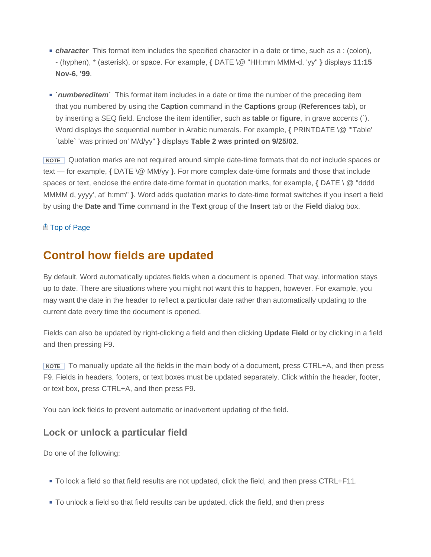- **character** This format item includes the specified character in a date or time, such as a : (colon), - (hyphen), \* (asterisk), or space. For example, **{** DATE \@ "HH:mm MMM-d, 'yy" **}** displays **11:15 Nov-6, '99**.
- **`***numbereditem***`** This format item includes in a date or time the number of the preceding item that you numbered by using the **Caption** command in the **Captions** group (**References** tab), or by inserting a SEQ field. Enclose the item identifier, such as **table** or **figure**, in grave accents (`). Word displays the sequential number in Arabic numerals. For example, **{** PRINTDATE \@ "'Table' `table` 'was printed on' M/d/yy" **}** displays **Table 2 was printed on 9/25/02**.

 **NOTE** Quotation marks are not required around simple date-time formats that do not include spaces or text — for example, **{** DATE \@ MM/yy **}**. For more complex date-time formats and those that include spaces or text, enclose the entire date-time format in quotation marks, for example, **{** DATE \ @ "dddd MMMM d, yyyy', at' h:mm" **}**. Word adds quotation marks to date-time format switches if you insert a field by using the **Date and Time** command in the **Text** group of the **Insert** tab or the **Field** dialog box.

## Top of Page

# **Control how fields are updated**

By default, Word automatically updates fields when a document is opened. That way, information stays up to date. There are situations where you might not want this to happen, however. For example, you may want the date in the header to reflect a particular date rather than automatically updating to the current date every time the document is opened.

Fields can also be updated by right-clicking a field and then clicking **Update Field** or by clicking in a field and then pressing F9.

**NOTE** To manually update all the fields in the main body of a document, press CTRL+A, and then press F9. Fields in headers, footers, or text boxes must be updated separately. Click within the header, footer, or text box, press CTRL+A, and then press F9.

You can lock fields to prevent automatic or inadvertent updating of the field.

## **Lock or unlock a particular field**

Do one of the following:

- To lock a field so that field results are not updated, click the field, and then press CTRL+F11.
- To unlock a field so that field results can be updated, click the field, and then press